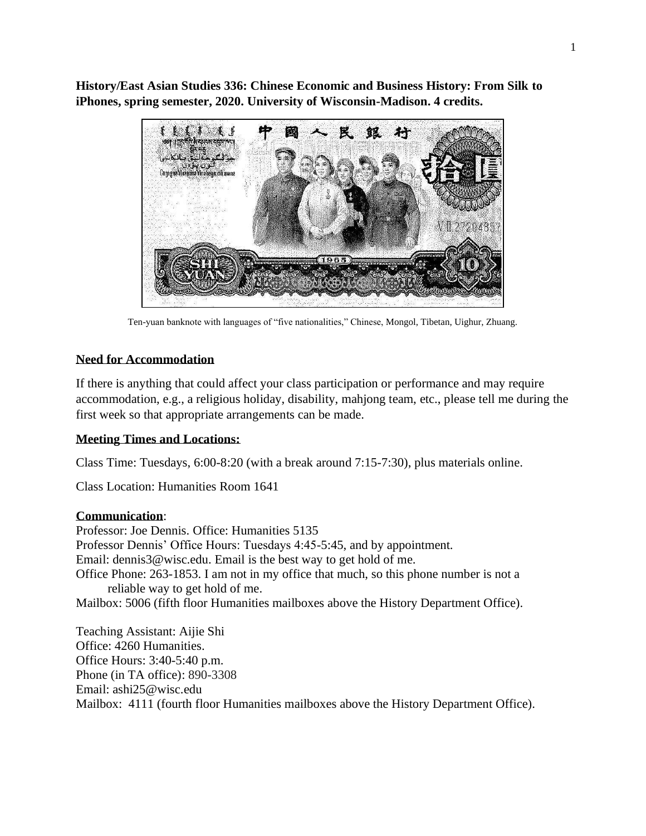**History/East Asian Studies 336: Chinese Economic and Business History: From Silk to iPhones, spring semester, 2020. University of Wisconsin-Madison. 4 credits.**



Ten-yuan banknote with languages of "five nationalities," Chinese, Mongol, Tibetan, Uighur, Zhuang.

# **Need for Accommodation**

If there is anything that could affect your class participation or performance and may require accommodation, e.g., a religious holiday, disability, mahjong team, etc., please tell me during the first week so that appropriate arrangements can be made.

# **Meeting Times and Locations:**

Class Time: Tuesdays, 6:00-8:20 (with a break around 7:15-7:30), plus materials online.

Class Location: Humanities Room 1641

## **Communication**:

Professor: Joe Dennis. Office: Humanities 5135 Professor Dennis' Office Hours: Tuesdays 4:45-5:45, and by appointment. Em[ail: dennis3@wisc.edu.](mailto:dennis3@wisc.edu) Email is the best way to get hold of me. Office Phone: 263-1853. I am not in my office that much, so this phone number is not a reliable way to get hold of me. Mailbox: 5006 (fifth floor Humanities mailboxes above the History Department Office).

Teaching Assistant: Aijie Shi Office: 4260 Humanities. Office Hours: 3:40-5:40 p.m. Phone (in TA office): 890-3308 Email: ashi25@wisc.edu Mailbox: 4111 (fourth floor Humanities mailboxes above the History Department Office).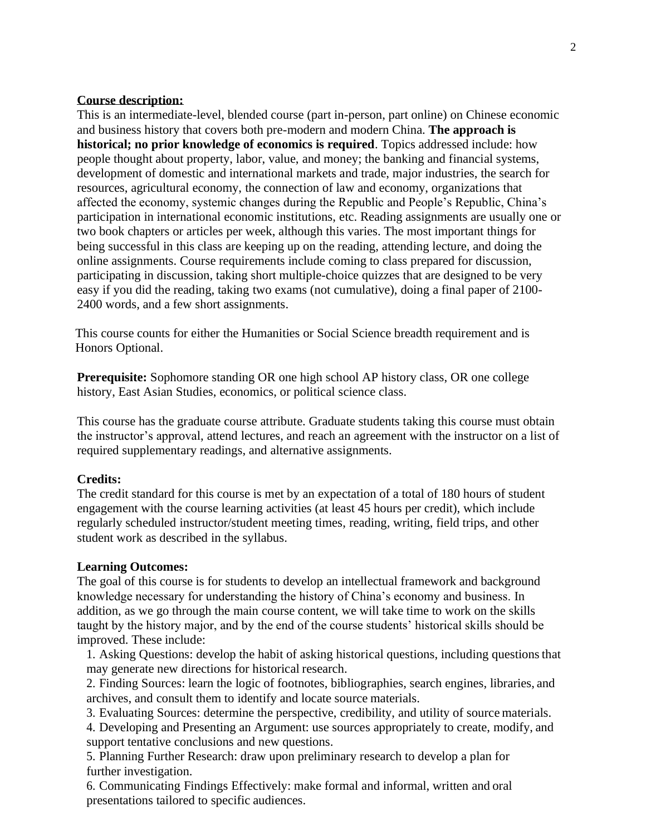### **Course description:**

This is an intermediate-level, blended course (part in-person, part online) on Chinese economic and business history that covers both pre-modern and modern China. **The approach is historical; no prior knowledge of economics is required**. Topics addressed include: how people thought about property, labor, value, and money; the banking and financial systems, development of domestic and international markets and trade, major industries, the search for resources, agricultural economy, the connection of law and economy, organizations that affected the economy, systemic changes during the Republic and People's Republic, China's participation in international economic institutions, etc. Reading assignments are usually one or two book chapters or articles per week, although this varies. The most important things for being successful in this class are keeping up on the reading, attending lecture, and doing the online assignments. Course requirements include coming to class prepared for discussion, participating in discussion, taking short multiple-choice quizzes that are designed to be very easy if you did the reading, taking two exams (not cumulative), doing a final paper of 2100- 2400 words, and a few short assignments.

This course counts for either the Humanities or Social Science breadth requirement and is Honors Optional.

**Prerequisite:** Sophomore standing OR one high school AP history class, OR one college history, East Asian Studies, economics, or political science class.

This course has the graduate course attribute. Graduate students taking this course must obtain the instructor's approval, attend lectures, and reach an agreement with the instructor on a list of required supplementary readings, and alternative assignments.

## **Credits:**

The credit standard for this course is met by an expectation of a total of 180 hours of student engagement with the course learning activities (at least 45 hours per credit), which include regularly scheduled instructor/student meeting times, reading, writing, field trips, and other student work as described in the syllabus.

#### **Learning Outcomes:**

The goal of this course is for students to develop an intellectual framework and background knowledge necessary for understanding the history of China's economy and business. In addition, as we go through the main course content, we will take time to work on the skills taught by the history major, and by the end of the course students' historical skills should be improved. These include:

1. Asking Questions: develop the habit of asking historical questions, including questionsthat may generate new directions for historical research.

2. Finding Sources: learn the logic of footnotes, bibliographies, search engines, libraries, and archives, and consult them to identify and locate source materials.

3. Evaluating Sources: determine the perspective, credibility, and utility of source materials.

4. Developing and Presenting an Argument: use sources appropriately to create, modify, and support tentative conclusions and new questions.

5. Planning Further Research: draw upon preliminary research to develop a plan for further investigation.

6. Communicating Findings Effectively: make formal and informal, written and oral presentations tailored to specific audiences.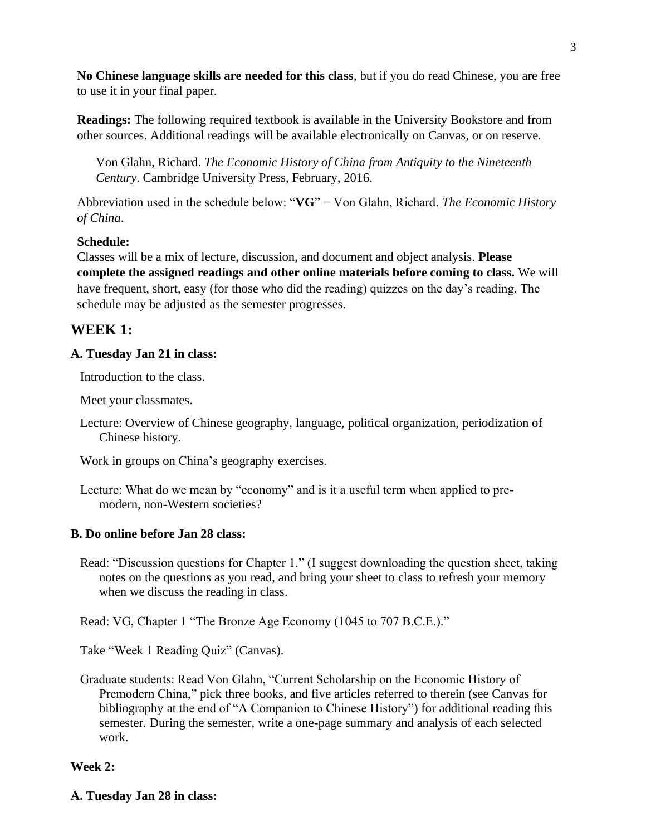**No Chinese language skills are needed for this class**, but if you do read Chinese, you are free to use it in your final paper.

**Readings:** The following required textbook is available in the University Bookstore and from other sources. Additional readings will be available electronically on Canvas, or on reserve.

Von Glahn, Richard. *The Economic History of China from Antiquity to the Nineteenth Century*. Cambridge University Press, February, 2016.

Abbreviation used in the schedule below: "**VG**" = Von Glahn, Richard. *The Economic History of China*.

# **Schedule:**

Classes will be a mix of lecture, discussion, and document and object analysis. **Please complete the assigned readings and other online materials before coming to class.** We will have frequent, short, easy (for those who did the reading) quizzes on the day's reading. The schedule may be adjusted as the semester progresses.

# **WEEK 1:**

# **A. Tuesday Jan 21 in class:**

Introduction to the class.

Meet your classmates.

Lecture: Overview of Chinese geography, language, political organization, periodization of Chinese history.

Work in groups on China's geography exercises.

Lecture: What do we mean by "economy" and is it a useful term when applied to premodern, non-Western societies?

# **B. Do online before Jan 28 class:**

Read: "Discussion questions for Chapter 1." (I suggest downloading the question sheet, taking notes on the questions as you read, and bring your sheet to class to refresh your memory when we discuss the reading in class.

Read: VG, Chapter 1 "The Bronze Age Economy (1045 to 707 B.C.E.)."

Take "Week 1 Reading Quiz" (Canvas).

Graduate students: Read Von Glahn, "Current Scholarship on the Economic History of Premodern China," pick three books, and five articles referred to therein (see Canvas for bibliography at the end of "A Companion to Chinese History") for additional reading this semester. During the semester, write a one-page summary and analysis of each selected work.

# **Week 2:**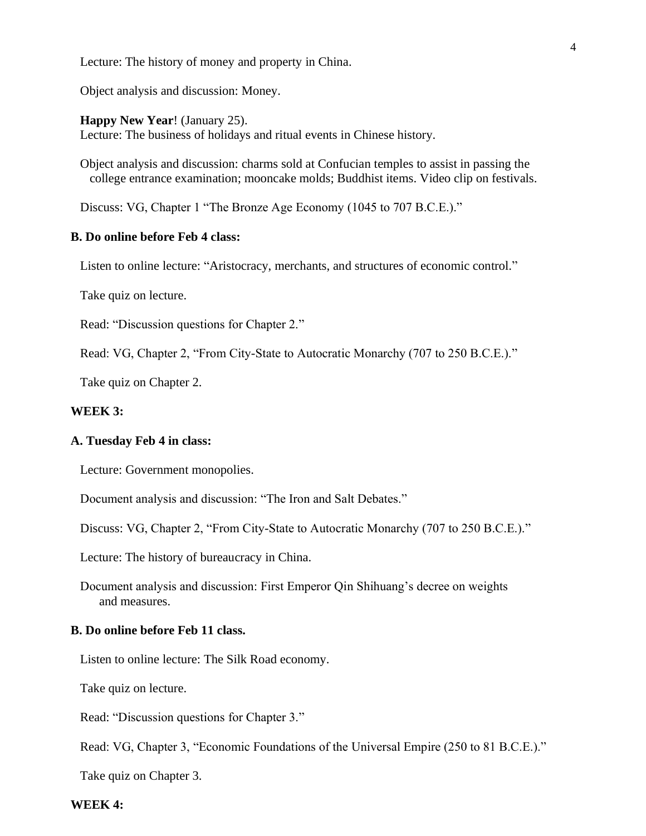Lecture: The history of money and property in China.

Object analysis and discussion: Money.

**Happy New Year**! (January 25). Lecture: The business of holidays and ritual events in Chinese history.

Object analysis and discussion: charms sold at Confucian temples to assist in passing the college entrance examination; mooncake molds; Buddhist items. Video clip on festivals.

Discuss: VG, Chapter 1 "The Bronze Age Economy (1045 to 707 B.C.E.)."

### **B. Do online before Feb 4 class:**

Listen to online lecture: "Aristocracy, merchants, and structures of economic control."

Take quiz on lecture.

Read: "Discussion questions for Chapter 2."

Read: VG, Chapter 2, "From City-State to Autocratic Monarchy (707 to 250 B.C.E.)."

Take quiz on Chapter 2.

### **WEEK 3:**

#### **A. Tuesday Feb 4 in class:**

Lecture: Government monopolies.

Document analysis and discussion: "The Iron and Salt Debates."

Discuss: VG, Chapter 2, "From City-State to Autocratic Monarchy (707 to 250 B.C.E.)."

Lecture: The history of bureaucracy in China.

Document analysis and discussion: First Emperor Qin Shihuang's decree on weights and measures.

#### **B. Do online before Feb 11 class.**

Listen to online lecture: The Silk Road economy.

Take quiz on lecture.

Read: "Discussion questions for Chapter 3."

Read: VG, Chapter 3, "Economic Foundations of the Universal Empire (250 to 81 B.C.E.)."

Take quiz on Chapter 3.

#### **WEEK 4:**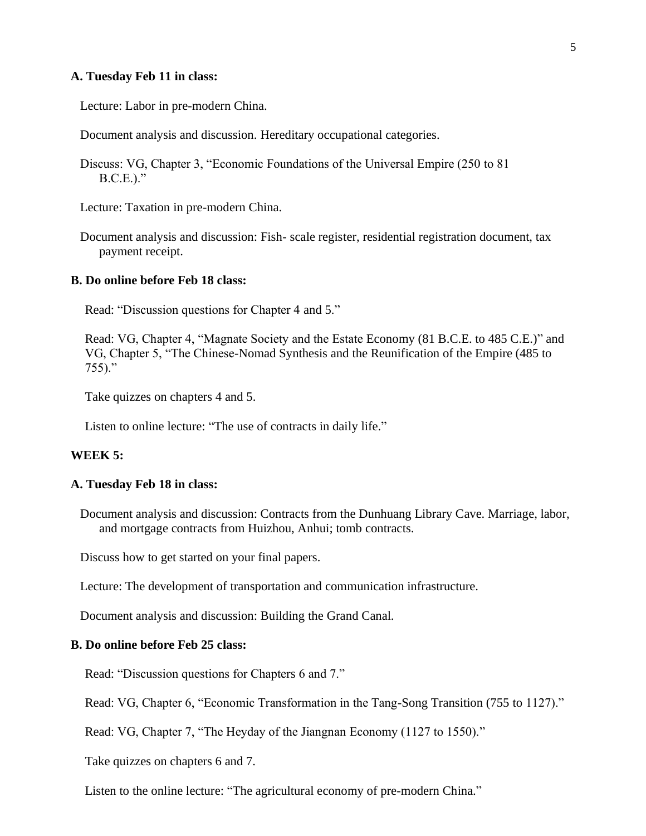### **A. Tuesday Feb 11 in class:**

Lecture: Labor in pre-modern China.

Document analysis and discussion. Hereditary occupational categories.

Discuss: VG, Chapter 3, "Economic Foundations of the Universal Empire (250 to 81 B.C.E.)."

Lecture: Taxation in pre-modern China.

Document analysis and discussion: Fish- scale register, residential registration document, tax payment receipt.

### **B. Do online before Feb 18 class:**

Read: "Discussion questions for Chapter 4 and 5."

Read: VG, Chapter 4, "Magnate Society and the Estate Economy (81 B.C.E. to 485 C.E.)" and VG, Chapter 5, "The Chinese-Nomad Synthesis and the Reunification of the Empire (485 to 755)."

Take quizzes on chapters 4 and 5.

Listen to online lecture: "The use of contracts in daily life."

#### **WEEK 5:**

#### **A. Tuesday Feb 18 in class:**

Document analysis and discussion: Contracts from the Dunhuang Library Cave. Marriage, labor, and mortgage contracts from Huizhou, Anhui; tomb contracts.

Discuss how to get started on your final papers.

Lecture: The development of transportation and communication infrastructure.

Document analysis and discussion: Building the Grand Canal.

## **B. Do online before Feb 25 class:**

Read: "Discussion questions for Chapters 6 and 7."

Read: VG, Chapter 6, "Economic Transformation in the Tang-Song Transition (755 to 1127)."

Read: VG, Chapter 7, "The Heyday of the Jiangnan Economy (1127 to 1550)."

Take quizzes on chapters 6 and 7.

Listen to the online lecture: "The agricultural economy of pre-modern China."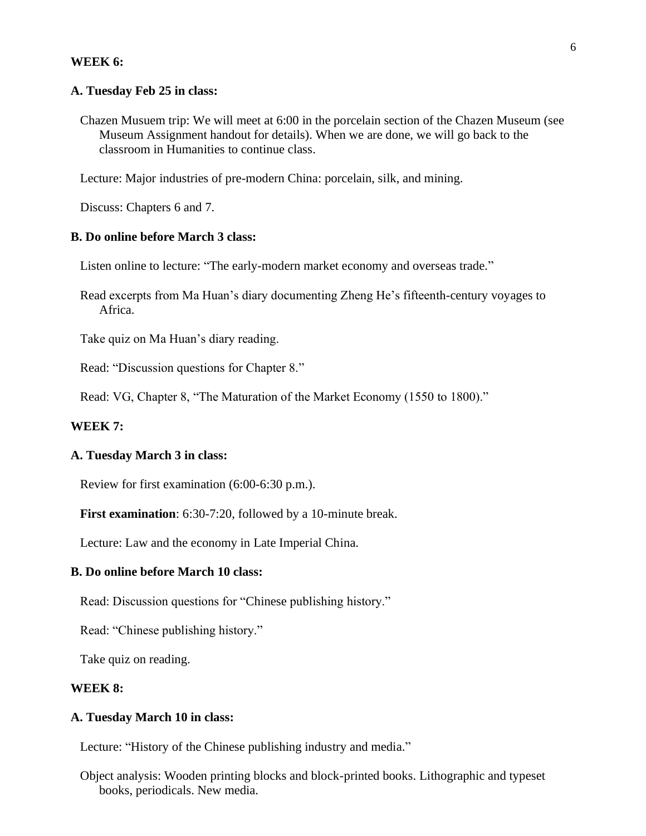#### **WEEK 6:**

#### **A. Tuesday Feb 25 in class:**

Chazen Musuem trip: We will meet at 6:00 in the porcelain section of the Chazen Museum (see Museum Assignment handout for details). When we are done, we will go back to the classroom in Humanities to continue class.

Lecture: Major industries of pre-modern China: porcelain, silk, and mining.

Discuss: Chapters 6 and 7.

## **B. Do online before March 3 class:**

Listen online to lecture: "The early-modern market economy and overseas trade."

Read excerpts from Ma Huan's diary documenting Zheng He's fifteenth-century voyages to Africa.

Take quiz on Ma Huan's diary reading.

Read: "Discussion questions for Chapter 8."

Read: VG, Chapter 8, "The Maturation of the Market Economy (1550 to 1800)."

#### **WEEK 7:**

## **A. Tuesday March 3 in class:**

Review for first examination (6:00-6:30 p.m.).

**First examination**: 6:30-7:20, followed by a 10-minute break.

Lecture: Law and the economy in Late Imperial China.

#### **B. Do online before March 10 class:**

Read: Discussion questions for "Chinese publishing history."

Read: "Chinese publishing history."

Take quiz on reading.

#### **WEEK 8:**

## **A. Tuesday March 10 in class:**

Lecture: "History of the Chinese publishing industry and media."

Object analysis: Wooden printing blocks and block-printed books. Lithographic and typeset books, periodicals. New media.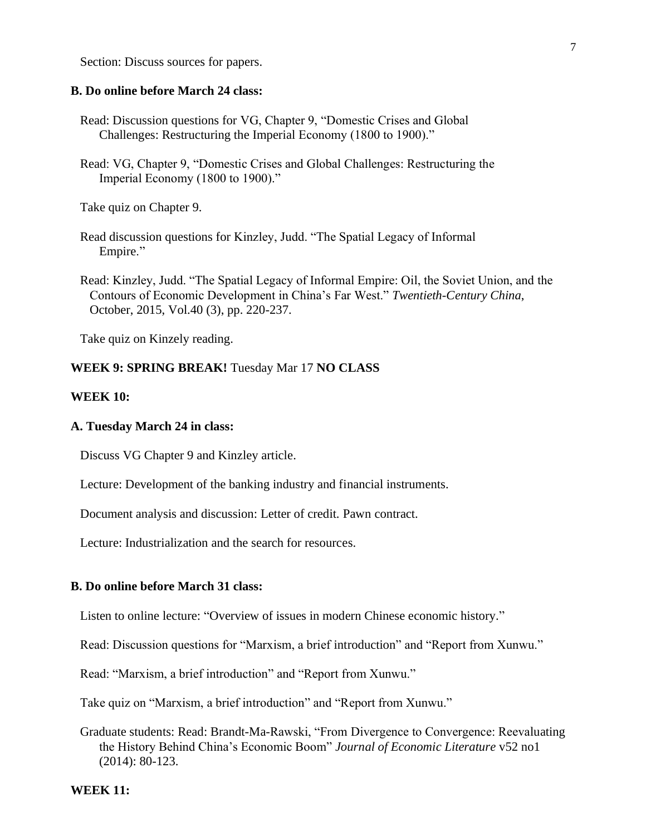Section: Discuss sources for papers.

### **B. Do online before March 24 class:**

- Read: Discussion questions for VG, Chapter 9, "Domestic Crises and Global Challenges: Restructuring the Imperial Economy (1800 to 1900)."
- Read: VG, Chapter 9, "Domestic Crises and Global Challenges: Restructuring the Imperial Economy (1800 to 1900)."

Take quiz on Chapter 9.

- Read discussion questions for Kinzley, Judd. "The Spatial Legacy of Informal Empire."
- Read: Kinzley, Judd. "The Spatial Legacy of Informal Empire: Oil, the Soviet Union, and the Contours of Economic Development in China's Far West." *Twentieth-Century China*, October, 2015, Vol.40 (3), pp. 220-237.

Take quiz on Kinzely reading.

#### **WEEK 9: SPRING BREAK!** Tuesday Mar 17 **NO CLASS**

### **WEEK 10:**

#### **A. Tuesday March 24 in class:**

Discuss VG Chapter 9 and Kinzley article.

Lecture: Development of the banking industry and financial instruments.

Document analysis and discussion: Letter of credit. Pawn contract.

Lecture: Industrialization and the search for resources.

## **B. Do online before March 31 class:**

Listen to online lecture: "Overview of issues in modern Chinese economic history."

Read: Discussion questions for "Marxism, a brief introduction" and "Report from Xunwu."

Read: "Marxism, a brief introduction" and "Report from Xunwu."

Take quiz on "Marxism, a brief introduction" and "Report from Xunwu."

Graduate students: Read: Brandt-Ma-Rawski, "From Divergence to Convergence: Reevaluating the History Behind China's Economic Boom" *Journal of Economic Literature* v52 no1 (2014): 80-123.

**WEEK 11:**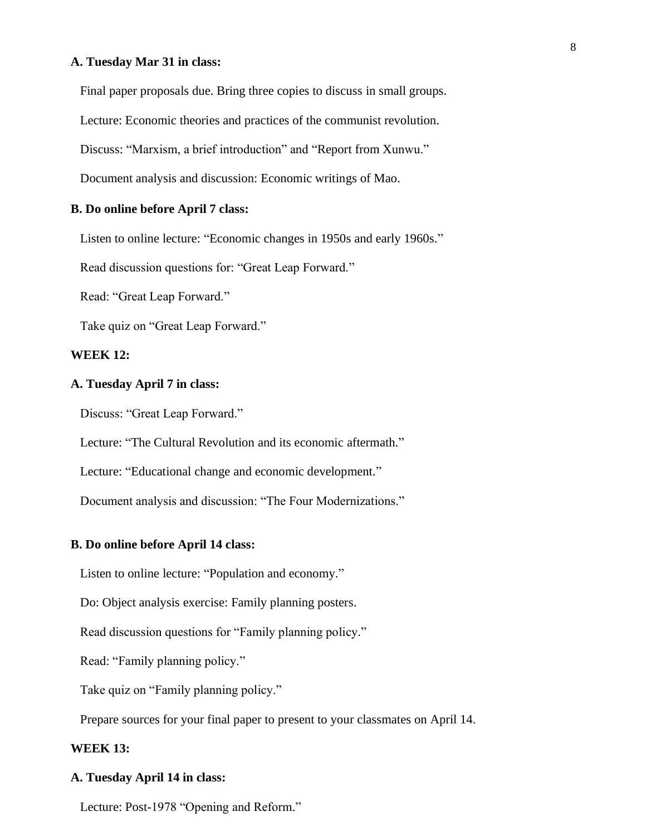#### **A. Tuesday Mar 31 in class:**

Final paper proposals due. Bring three copies to discuss in small groups.

Lecture: Economic theories and practices of the communist revolution.

Discuss: "Marxism, a brief introduction" and "Report from Xunwu."

Document analysis and discussion: Economic writings of Mao.

#### **B. Do online before April 7 class:**

Listen to online lecture: "Economic changes in 1950s and early 1960s."

Read discussion questions for: "Great Leap Forward."

Read: "Great Leap Forward."

Take quiz on "Great Leap Forward."

## **WEEK 12:**

#### **A. Tuesday April 7 in class:**

Discuss: "Great Leap Forward."

Lecture: "The Cultural Revolution and its economic aftermath."

Lecture: "Educational change and economic development."

Document analysis and discussion: "The Four Modernizations."

#### **B. Do online before April 14 class:**

Listen to online lecture: "Population and economy."

Do: Object analysis exercise: Family planning posters.

Read discussion questions for "Family planning policy."

Read: "Family planning policy."

Take quiz on "Family planning policy."

Prepare sources for your final paper to present to your classmates on April 14.

### **WEEK 13:**

### **A. Tuesday April 14 in class:**

Lecture: Post-1978 "Opening and Reform."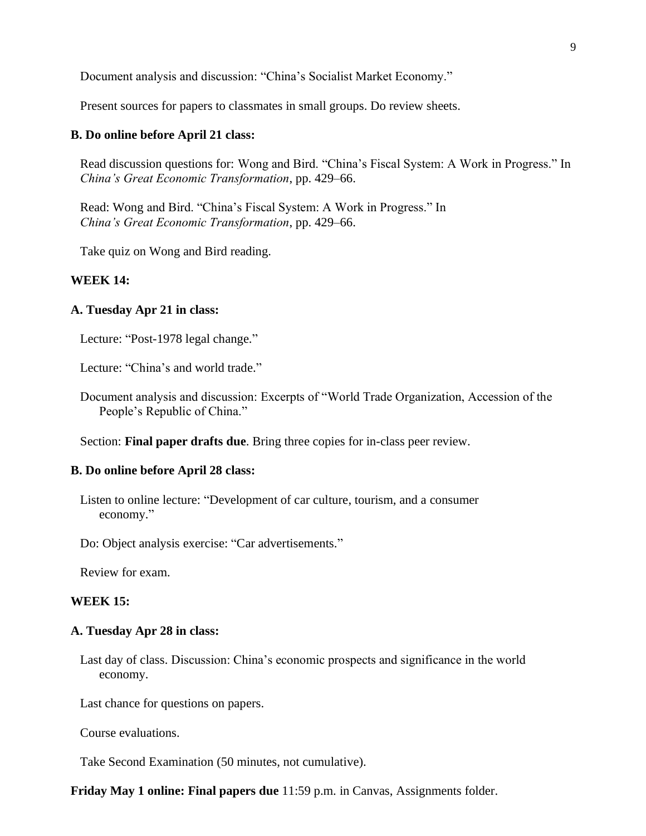Document analysis and discussion: "China's Socialist Market Economy."

Present sources for papers to classmates in small groups. Do review sheets.

### **B. Do online before April 21 class:**

Read discussion questions for: Wong and Bird. "China's Fiscal System: A Work in Progress." In *China's Great Economic Transformation*, pp. 429–66.

Read: Wong and Bird. "China's Fiscal System: A Work in Progress." In *China's Great Economic Transformation*, pp. 429–66.

Take quiz on Wong and Bird reading.

# **WEEK 14:**

#### **A. Tuesday Apr 21 in class:**

Lecture: "Post-1978 legal change."

Lecture: "China's and world trade."

Document analysis and discussion: Excerpts of "World Trade Organization, Accession of the People's Republic of China."

Section: **Final paper drafts due**. Bring three copies for in-class peer review.

#### **B. Do online before April 28 class:**

Listen to online lecture: "Development of car culture, tourism, and a consumer economy."

Do: Object analysis exercise: "Car advertisements."

Review for exam.

#### **WEEK 15:**

#### **A. Tuesday Apr 28 in class:**

Last day of class. Discussion: China's economic prospects and significance in the world economy.

Last chance for questions on papers.

Course evaluations.

Take Second Examination (50 minutes, not cumulative).

**Friday May 1 online: Final papers due** 11:59 p.m. in Canvas, Assignments folder.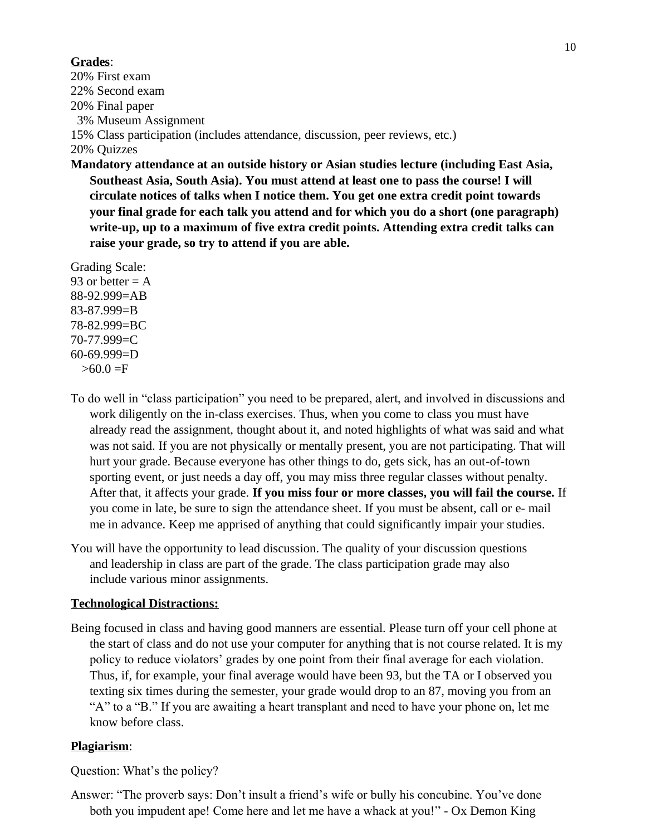## **Grades**:

20% First exam 22% Second exam 20% Final paper 3% Museum Assignment 15% Class participation (includes attendance, discussion, peer reviews, etc.) 20% Quizzes

**Mandatory attendance at an outside history or Asian studies lecture (including East Asia, Southeast Asia, South Asia). You must attend at least one to pass the course! I will circulate notices of talks when I notice them. You get one extra credit point towards your final grade for each talk you attend and for which you do a short (one paragraph) write-up, up to a maximum of five extra credit points. Attending extra credit talks can raise your grade, so try to attend if you are able.**

Grading Scale: 93 or better  $= A$ 88-92.999=AB 83-87.999=B 78-82.999=BC 70-77.999=C 60-69.999=D  $>60.0 = F$ 

- To do well in "class participation" you need to be prepared, alert, and involved in discussions and work diligently on the in-class exercises. Thus, when you come to class you must have already read the assignment, thought about it, and noted highlights of what was said and what was not said. If you are not physically or mentally present, you are not participating. That will hurt your grade. Because everyone has other things to do, gets sick, has an out-of-town sporting event, or just needs a day off, you may miss three regular classes without penalty. After that, it affects your grade. **If you miss four or more classes, you will fail the course.** If you come in late, be sure to sign the attendance sheet. If you must be absent, call or e- mail me in advance. Keep me apprised of anything that could significantly impair your studies.
- You will have the opportunity to lead discussion. The quality of your discussion questions and leadership in class are part of the grade. The class participation grade may also include various minor assignments.

# **Technological Distractions:**

Being focused in class and having good manners are essential. Please turn off your cell phone at the start of class and do not use your computer for anything that is not course related. It is my policy to reduce violators' grades by one point from their final average for each violation. Thus, if, for example, your final average would have been 93, but the TA or I observed you texting six times during the semester, your grade would drop to an 87, moving you from an "A" to a "B." If you are awaiting a heart transplant and need to have your phone on, let me know before class.

# **Plagiarism**:

Question: What's the policy?

Answer: "The proverb says: Don't insult a friend's wife or bully his concubine. You've done both you impudent ape! Come here and let me have a whack at you!" - Ox Demon King